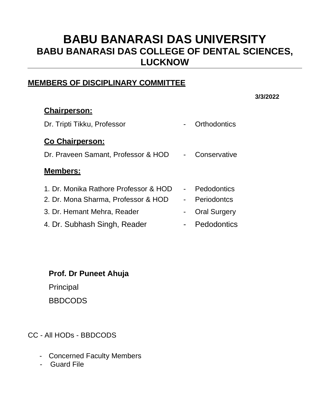### **MEMBERS OF DISCIPLINARY COMMITTEE**

#### **3/3/2022**

| <b>Chairperson:</b>                   |                     |
|---------------------------------------|---------------------|
| Dr. Tripti Tikku, Professor           | Orthodontics        |
| <b>Co Chairperson:</b>                |                     |
| Dr. Praveen Samant, Professor & HOD   | Conservative        |
| <b>Members:</b>                       |                     |
| 1. Dr. Monika Rathore Professor & HOD | Pedodontics         |
| 2. Dr. Mona Sharma, Professor & HOD   | Periodontcs         |
| 3. Dr. Hemant Mehra, Reader           | <b>Oral Surgery</b> |
| 4. Dr. Subhash Singh, Reader          | Pedodontics         |

**Prof. Dr Puneet Ahuja** 

Principal

**BBDCODS** 

CC - All HODs - BBDCODS

- Concerned Faculty Members
- Guard File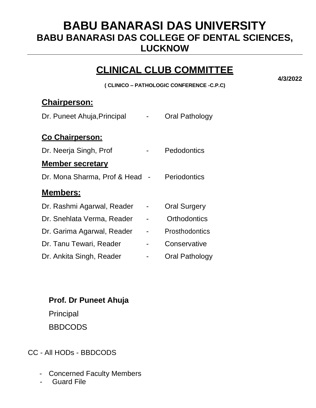### **CLINICAL CLUB COMMITTEE**

**( CLINICO – PATHOLOGIC CONFERENCE -C.P.C)**

**Chairperson:**

| Dr. Puneet Ahuja, Principal  | <b>Oral Pathology</b> |
|------------------------------|-----------------------|
| <b>Co Chairperson:</b>       |                       |
| Dr. Neerja Singh, Prof       | Pedodontics           |
| <b>Member secretary</b>      |                       |
| Dr. Mona Sharma, Prof & Head | <b>Periodontics</b>   |
| <u>Members:</u>              |                       |
| Dr. Rashmi Agarwal, Reader   | <b>Oral Surgery</b>   |
| Dr. Snehlata Verma, Reader   | Orthodontics          |
| Dr. Garima Agarwal, Reader   | Prosthodontics        |
|                              |                       |
| Dr. Tanu Tewari, Reader      | Conservative          |

**Prof. Dr Puneet Ahuja** 

Principal

BBDCODS

CC - All HODs - BBDCODS

- Concerned Faculty Members
- **Guard File**

**4/3/2022**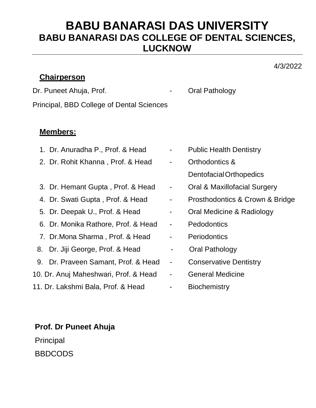#### **Chairperson**

4/3/2022

Dr. Puneet Ahuja, Prof. **Canadian Contract Angles** Cral Pathology

Principal, BBD College of Dental Sciences

#### **Members:**

- 1. Dr. Anuradha P., Prof. & Head Public Health Dentistry
- 2. Dr. Rohit Khanna, Prof. & Head Orthodontics &
- 3. Dr. Hemant Gupta, Prof. & Head Oral & Maxillofacial Surgery
- 
- 
- 6. Dr. Monika Rathore, Prof. & Head Pedodontics
- 7. Dr. Mona Sharma, Prof. & Head Periodontics
- 8. Dr. Jiji George, Prof. & Head Cral Pathology
- 9. Dr. Praveen Samant, Prof. & Head Conservative Dentistry
- 10. Dr. Anuj Maheshwari, Prof. & Head General Medicine
- 11. Dr. Lakshmi Bala, Prof. & Head Biochemistry

- Dentofacial Orthopedics
- 
- 4. Dr. Swati Gupta, Prof. & Head Prosthodontics & Crown & Bridge
- 5. Dr. Deepak U., Prof. & Head Oral Medicine & Radiology
	-
	-
	-
	-
	-
	-

**Prof. Dr Puneet Ahuja Principal** BBDCODS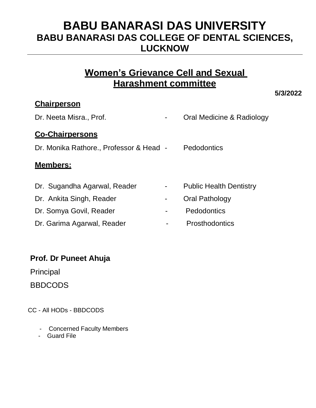### **Women's Grievance Cell and Sexual Harashment committee**

**5/3/2022**

#### **Chairperson**

| Dr. Neeta Misra., Prof.                 |                | Oral Medicine & Radiology      |
|-----------------------------------------|----------------|--------------------------------|
| <b>Co-Chairpersons</b>                  |                |                                |
| Dr. Monika Rathore., Professor & Head - |                | <b>Pedodontics</b>             |
| <b>Members:</b>                         |                |                                |
|                                         |                |                                |
| Dr. Sugandha Agarwal, Reader            | $\blacksquare$ | <b>Public Health Dentistry</b> |
| Dr. Ankita Singh, Reader                | $\blacksquare$ | Oral Pathology                 |
| Dr. Somya Govil, Reader                 |                | Pedodontics                    |

Dr. Garima Agarwal, Reader **- Prosthodontics** 

#### **Prof. Dr Puneet Ahuja**

Principal

BBDCODS

CC - All HODs - BBDCODS

- Concerned Faculty Members
- Guard File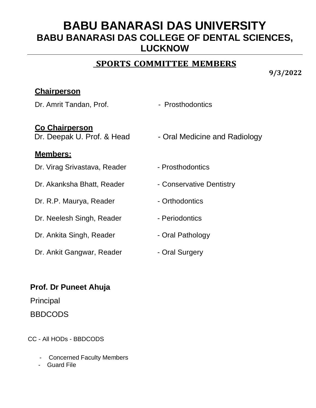### **SPORTS COMMITTEE MEMBERS**

**9/3/2022**

#### **Chairperson**

Dr. Amrit Tandan, Prof. **- Prosthodontics** 

**Co Chairperson**

#### **Members:**

Dr. Virag Srivastava, Reader - Prosthodontics

Dr. Akanksha Bhatt, Reader - Conservative Dentistry

Dr. R.P. Maurya, Reader - Orthodontics

Dr. Neelesh Singh, Reader - Periodontics

Dr. Ankita Singh, Reader - Oral Pathology

Dr. Ankit Gangwar, Reader **- Oral Surgery** 

- 
- Dr. Deepak U. Prof. & Head Oral Medicine and Radiology
	-
	-
	-
	-
	-
	-

### **Prof. Dr Puneet Ahuja**

Principal

BBDCODS

CC - All HODs - BBDCODS

- Concerned Faculty Members
- Guard File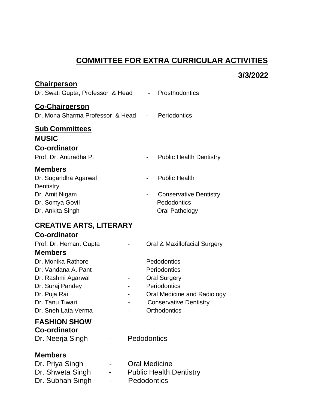### **COMMITTEE FOR EXTRA CURRICULAR ACTIVITIES**

|                                                                                                                                               |                          |                                                                                                                                                    | 3/3/2022 |
|-----------------------------------------------------------------------------------------------------------------------------------------------|--------------------------|----------------------------------------------------------------------------------------------------------------------------------------------------|----------|
| <b>Chairperson</b><br>Dr. Swati Gupta, Professor & Head - Prosthodontics                                                                      |                          |                                                                                                                                                    |          |
| <b>Co-Chairperson</b><br>Dr. Mona Sharma Professor & Head - Periodontics                                                                      |                          |                                                                                                                                                    |          |
| <b><u>Sub Committees</u></b><br><b>MUSIC</b>                                                                                                  |                          |                                                                                                                                                    |          |
| <b>Co-ordinator</b><br>Prof. Dr. Anuradha P.                                                                                                  |                          | <b>Public Health Dentistry</b>                                                                                                                     |          |
| <b>Members</b><br>Dr. Sugandha Agarwal                                                                                                        |                          | <b>Public Health</b>                                                                                                                               |          |
| Dentistry<br>Dr. Amit Nigam<br>Dr. Somya Govil<br>Dr. Ankita Singh                                                                            | $\overline{\phantom{a}}$ | <b>Conservative Dentistry</b><br>Pedodontics<br><b>Oral Pathology</b>                                                                              |          |
| <b>CREATIVE ARTS, LITERARY</b>                                                                                                                |                          |                                                                                                                                                    |          |
| <b>Co-ordinator</b><br>Prof. Dr. Hemant Gupta                                                                                                 |                          | Oral & Maxillofacial Surgery                                                                                                                       |          |
| <b>Members</b>                                                                                                                                |                          |                                                                                                                                                    |          |
| Dr. Monika Rathore<br>Dr. Vandana A. Pant<br>Dr. Rashmi Agarwal<br>Dr. Suraj Pandey<br>Dr. Puja Rai<br>Dr. Tanu Tiwari<br>Dr. Sneh Lata Verma |                          | Pedodontics<br>Periodontics<br><b>Oral Surgery</b><br>Periodontics<br>Oral Medicine and Radiology<br><b>Conservative Dentistry</b><br>Orthodontics |          |
| <b>FASHION SHOW</b><br><b>Co-ordinator</b><br>Dr. Neerja Singh                                                                                | Pedodontics              |                                                                                                                                                    |          |
| <b>Members</b><br>Dr. Priya Singh<br>Dr. Shweta Singh<br>Dr. Subhah Singh                                                                     |                          | <b>Oral Medicine</b><br><b>Public Health Dentistry</b><br>Pedodontics                                                                              |          |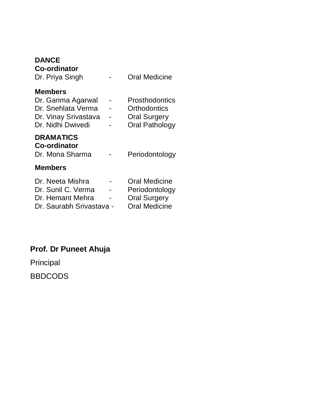#### **DANCE**

| <b>Co-ordinator</b><br>Dr. Priya Singh                                                                  | <b>Oral Medicine</b>                                                           |
|---------------------------------------------------------------------------------------------------------|--------------------------------------------------------------------------------|
| <b>Members</b><br>Dr. Garima Agarwal<br>Dr. Snehlata Verma<br>Dr. Vinay Srivastava<br>Dr. Nidhi Dwivedi | Prosthodontics<br>Orthodontics<br><b>Oral Surgery</b><br><b>Oral Pathology</b> |
| <b>DRAMATICS</b><br><b>Co-ordinator</b><br>Dr. Mona Sharma                                              | Periodontology                                                                 |
| <b>Members</b>                                                                                          |                                                                                |
| Dr. Neeta Mishra<br>Dr. Sunil C. Verma<br>Dr. Hemant Mehra<br>Dr. Saurabh Srivastava -                  | <b>Oral Medicine</b><br>Periodontology<br><b>Oral Surgery</b><br>Oral Medicine |

# **Prof. Dr Puneet Ahuja**

Principal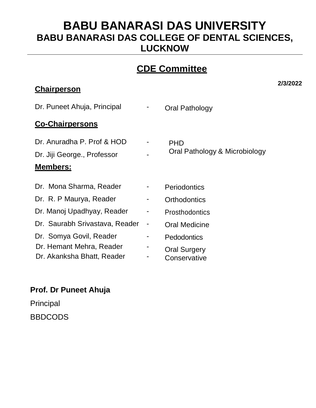### **CDE Committee**

#### **Chairperson**

**2/3/2022**

| Dr. Puneet Ahuja, Principal |   | Oral Pathology                |  |  |
|-----------------------------|---|-------------------------------|--|--|
| <b>Co-Chairpersons</b>      |   |                               |  |  |
| Dr. Anuradha P. Prof & HOD  | ۰ | <b>PHD</b>                    |  |  |
| Dr. Iiii Coorgo Drofossor   |   | Oral Pathology & Microbiology |  |  |

-

Dr. Jiji George., Professor

#### **Members:**

- Dr. Mona Sharma, Reader -Dr. R. P Maurya, Reader -Dr. Manoj Upadhyay, Reader -
- Dr. Saurabh Srivastava, Reader -
- Dr. Somya Govil, Reader Dr. Hemant Mehra, Reader
- -
- Dr. Akanksha Bhatt, Reader -

### **Prof. Dr Puneet Ahuja**

Principal BBDCODS

- 
- **Periodontics**
- **Orthodontics** 
	- **Prosthodontics**
- Oral Medicine
- **Pedodontics** -
	- Oral Surgery
- **Conservative**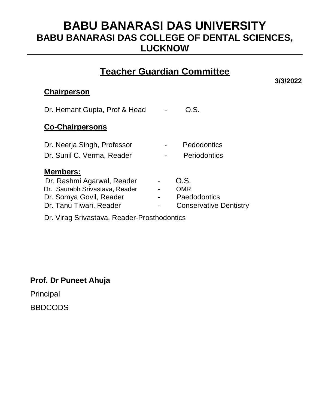### **Teacher Guardian Committee**

#### **Chairperson**

| Dr. Hemant Gupta, Prof & Head  |   | O.S.                          |
|--------------------------------|---|-------------------------------|
| <b>Co-Chairpersons</b>         |   |                               |
| Dr. Neerja Singh, Professor    |   | Pedodontics                   |
| Dr. Sunil C. Verma, Reader     |   | <b>Periodontics</b>           |
| <u>Members:</u>                |   |                               |
| Dr. Rashmi Agarwal, Reader     |   | O.S.                          |
| Dr. Saurabh Srivastava, Reader |   | <b>OMR</b>                    |
| Dr. Somya Govil, Reader        | - | Paedodontics                  |
| Dr. Tanu Tiwari, Reader        |   | <b>Conservative Dentistry</b> |

Dr. Virag Srivastava, Reader-Prosthodontics

#### **Prof. Dr Puneet Ahuja**

Principal

**BBDCODS** 

**3/3/2022**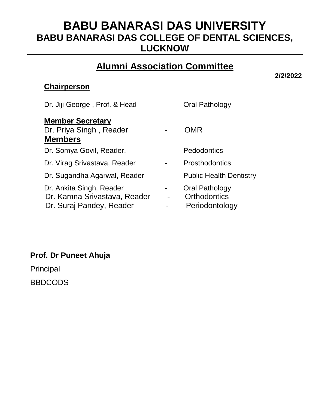### **Alumni Association Committee**

**2/2/2022**

### **Chairperson**

| Dr. Jiji George, Prof. & Head                                                        | Oral Pathology                                          |
|--------------------------------------------------------------------------------------|---------------------------------------------------------|
| <b>Member Secretary</b><br>Dr. Priya Singh, Reader<br><b>Members</b>                 | <b>OMR</b>                                              |
| Dr. Somya Govil, Reader,                                                             | Pedodontics                                             |
| Dr. Virag Srivastava, Reader                                                         | <b>Prosthodontics</b>                                   |
| Dr. Sugandha Agarwal, Reader                                                         | <b>Public Health Dentistry</b>                          |
| Dr. Ankita Singh, Reader<br>Dr. Kamna Srivastava, Reader<br>Dr. Suraj Pandey, Reader | Oral Pathology<br><b>Orthodontics</b><br>Periodontology |

### **Prof. Dr Puneet Ahuja**

Principal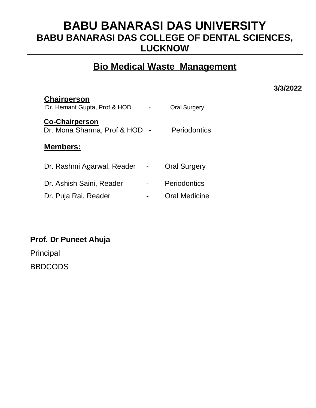### **Bio Medical Waste Management**

**3/3/2022**

| <b>Chairperson</b><br>Dr. Hemant Gupta, Prof & HOD   | <b>Oral Surgery</b> |
|------------------------------------------------------|---------------------|
| <b>Co-Chairperson</b><br>Dr. Mona Sharma, Prof & HOD | <b>Periodontics</b> |
| Members:                                             |                     |
| Dr. Rashmi Agarwal, Reader                           | <b>Oral Surgery</b> |
| Dr. Ashish Saini, Reader                             | Periodontics        |
| Dr. Puja Rai, Reader                                 | Oral Medicine       |

**Prof. Dr Puneet Ahuja**  Principal BBDCODS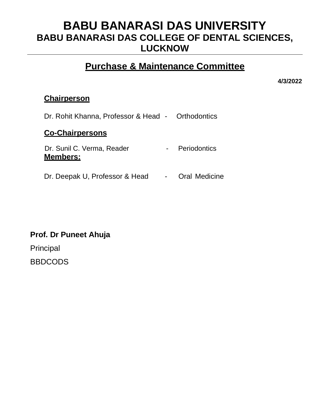### **Purchase & Maintenance Committee**

**4/3/2022**

#### **Chairperson**

| Dr. Rohit Khanna, Professor & Head - Orthodontics |                      |
|---------------------------------------------------|----------------------|
| <b>Co-Chairpersons</b>                            |                      |
| Dr. Sunil C. Verma, Reader<br><b>Members:</b>     | Periodontics         |
| Dr. Deepak U, Professor & Head                    | <b>Oral Medicine</b> |

#### **Prof. Dr Puneet Ahuja**

Principal **BBDCODS**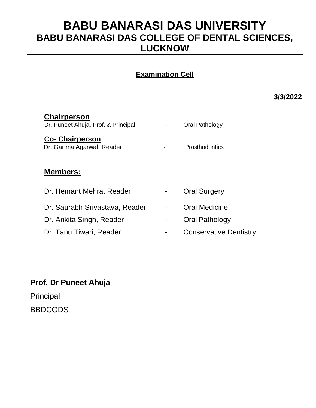### **Examination Cell**

**3/3/2022**

| <b>Chairperson</b><br>Dr. Puneet Ahuja, Prof. & Principal | Oral Pathology                |
|-----------------------------------------------------------|-------------------------------|
| <b>Co-Chairperson</b><br>Dr. Garima Agarwal, Reader       | <b>Prosthodontics</b>         |
| <b>Members:</b>                                           |                               |
| Dr. Hemant Mehra, Reader                                  | <b>Oral Surgery</b>           |
| Dr. Saurabh Srivastava, Reader                            | Oral Medicine                 |
| Dr. Ankita Singh, Reader                                  | Oral Pathology                |
| Dr.Tanu Tiwari, Reader                                    | <b>Conservative Dentistry</b> |

### **Prof. Dr Puneet Ahuja**

Principal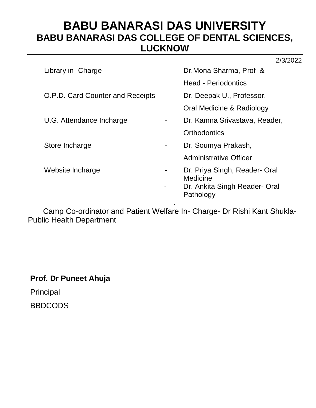| Library in- Charge                      |                              | Dr. Mona Sharma, Prof &                                                                 |
|-----------------------------------------|------------------------------|-----------------------------------------------------------------------------------------|
|                                         |                              | <b>Head - Periodontics</b>                                                              |
| <b>O.P.D. Card Counter and Receipts</b> | $\qquad \qquad \blacksquare$ | Dr. Deepak U., Professor,                                                               |
|                                         |                              | Oral Medicine & Radiology                                                               |
| U.G. Attendance Incharge                |                              | Dr. Kamna Srivastava, Reader,                                                           |
|                                         |                              | Orthodontics                                                                            |
| Store Incharge                          |                              | Dr. Soumya Prakash,                                                                     |
|                                         |                              | <b>Administrative Officer</b>                                                           |
| Website Incharge                        |                              | Dr. Priya Singh, Reader- Oral<br>Medicine<br>Dr. Ankita Singh Reader- Oral<br>Pathology |
|                                         |                              |                                                                                         |

 Camp Co-ordinator and Patient Welfare In- Charge- Dr Rishi Kant Shukla-Public Health Department

**Prof. Dr Puneet Ahuja** 

Principal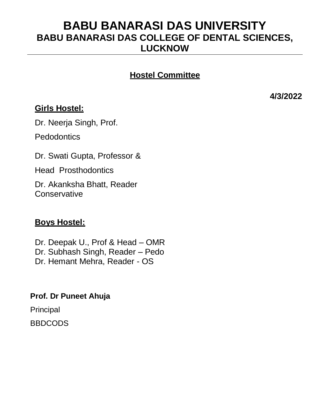### **Hostel Committee**

**4/3/2022**

### **Girls Hostel:**

Dr. Neerja Singh, Prof.

**Pedodontics** 

Dr. Swati Gupta, Professor &

Head Prosthodontics

Dr. Akanksha Bhatt, Reader **Conservative** 

### **Boys Hostel:**

 Dr. Deepak U., Prof & Head – OMR Dr. Subhash Singh, Reader – Pedo Dr. Hemant Mehra, Reader - OS

**Prof. Dr Puneet Ahuja** 

Principal